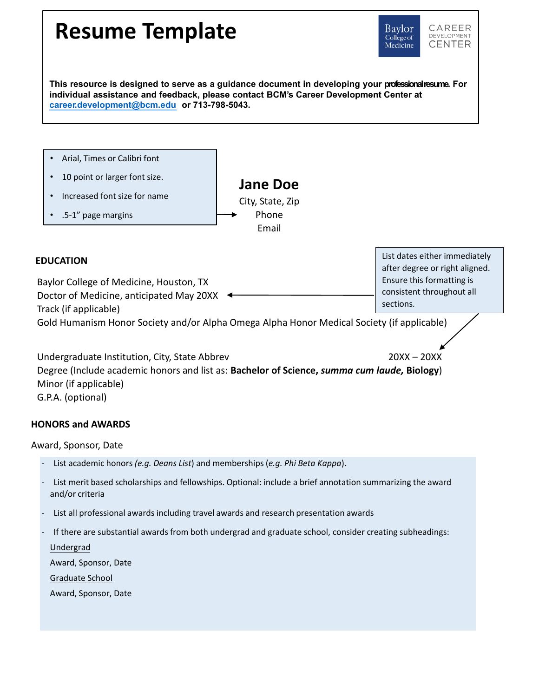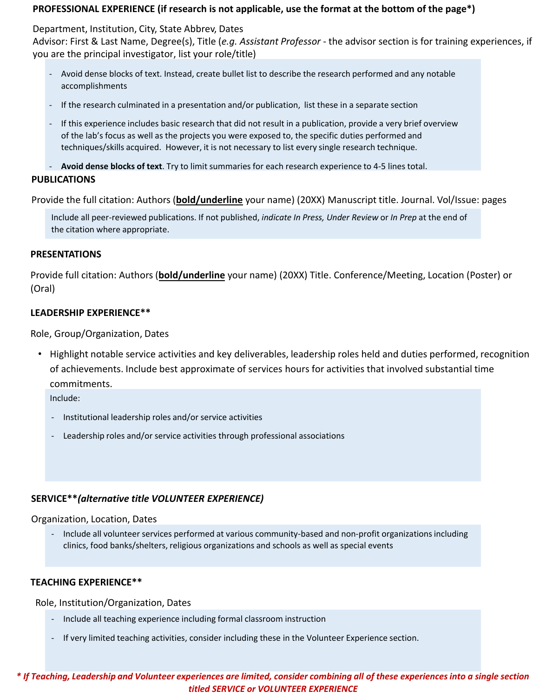## **PROFESSIONAL EXPERIENCE (if research is not applicable, use the format at the bottom of the page\*)**

Department, Institution, City, State Abbrev, Dates Advisor: First & Last Name, Degree(s), Title (*e.g. Assistant Professor* - the advisor section is for training experiences, if you are the principal investigator, list your role/title)

- Avoid dense blocks of text. Instead, create bullet list to describe the research performed and any notable accomplishments
- If the research culminated in a presentation and/or publication, list these in a separate section
- If this experience includes basic research that did not result in a publication, provide a very brief overview of the lab's focus as well as the projects you were exposed to, the specific duties performed and techniques/skills acquired. However, it is not necessary to list every single research technique.

**PUBLICATIONS**  - **Avoid dense blocks of text**. Try to limit summaries for each research experience to 4-5 lines total.

Provide the full citation: Authors (**bold/underline** your name) (20XX) Manuscript title. Journal. Vol/Issue: pages

Include all peer-reviewed publications. If not published, *indicate In Press, Under Review* or *In Prep* at the end of the citation where appropriate.

#### **PRESENTATIONS**

Provide full citation: Authors (**bold/underline** your name) (20XX) Title. Conference/Meeting, Location (Poster) or (Oral)

## **LEADERSHIP EXPERIENCE\*\***

Role, Group/Organization, Dates

• Highlight notable service activities and key deliverables, leadership roles held and duties performed, recognition of achievements. Include best approximate of services hours for activities that involved substantial time commitments.

Include:

- Institutional leadership roles and/or service activities
- Leadership roles and/or service activities through professional associations

## **SERVICE\*\****(alternative title VOLUNTEER EXPERIENCE)*

Organization, Location, Dates

- Include all volunteer services performed at various community-based and non-profit organizations including clinics, food banks/shelters, religious organizations and schools as well as special events

## **TEACHING EXPERIENCE\*\***

Role, Institution/Organization, Dates

- Include all teaching experience including formal classroom instruction
- If very limited teaching activities, consider including these in the Volunteer Experience section.

*\* If Teaching, Leadership and Volunteer experiences are limited, consider combining all of these experiences into a single section titled SERVICE or VOLUNTEER EXPERIENCE*